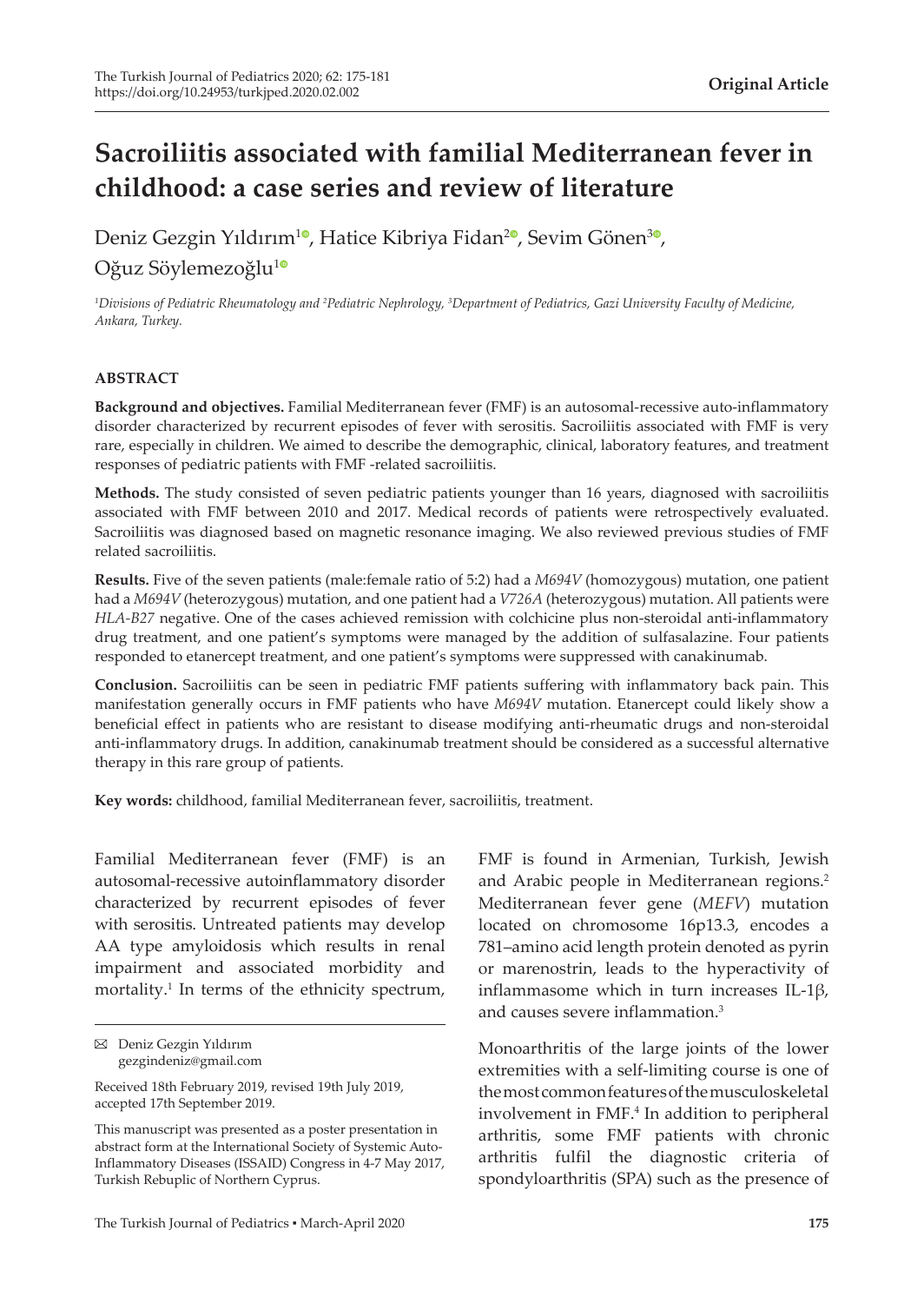# **Sacroiliitis associated with familial Mediterranean fever in childhood: a case series and review of literature**

Deniz Gezgin Yıldırım<sup>[1](https://orcid.org/0000-0002-4823-2076)0</sup>[,](https://orcid.org/0000-0002-2059-6193) Hatice Kibriya Fidan<sup>20</sup>, Sevim Gönen<sup>30</sup>, Oğuz Söylemezoğlu<sup>[1](https://orcid.org/0000-0002-9861-884X)0</sup>

*1 Divisions of Pediatric Rheumatology and 2 Pediatric Nephrology, 3 Department of Pediatrics, Gazi University Faculty of Medicine, Ankara, Turkey.*

#### **ABSTRACT**

**Background and objectives.** Familial Mediterranean fever (FMF) is an autosomal-recessive auto-inflammatory disorder characterized by recurrent episodes of fever with serositis. Sacroiliitis associated with FMF is very rare, especially in children. We aimed to describe the demographic, clinical, laboratory features, and treatment responses of pediatric patients with FMF -related sacroiliitis.

**Methods.** The study consisted of seven pediatric patients younger than 16 years, diagnosed with sacroiliitis associated with FMF between 2010 and 2017. Medical records of patients were retrospectively evaluated. Sacroiliitis was diagnosed based on magnetic resonance imaging. We also reviewed previous studies of FMF related sacroiliitis.

**Results.** Five of the seven patients (male:female ratio of 5:2) had a *M694V* (homozygous) mutation, one patient had a *M694V* (heterozygous) mutation, and one patient had a *V726A* (heterozygous) mutation. All patients were *HLA-B27* negative. One of the cases achieved remission with colchicine plus non-steroidal anti-inflammatory drug treatment, and one patient's symptoms were managed by the addition of sulfasalazine. Four patients responded to etanercept treatment, and one patient's symptoms were suppressed with canakinumab.

**Conclusion.** Sacroiliitis can be seen in pediatric FMF patients suffering with inflammatory back pain. This manifestation generally occurs in FMF patients who have *M694V* mutation. Etanercept could likely show a beneficial effect in patients who are resistant to disease modifying anti-rheumatic drugs and non-steroidal anti-inflammatory drugs. In addition, canakinumab treatment should be considered as a successful alternative therapy in this rare group of patients.

**Key words:** childhood, familial Mediterranean fever, sacroiliitis, treatment.

Familial Mediterranean fever (FMF) is an autosomal-recessive autoinflammatory disorder characterized by recurrent episodes of fever with serositis. Untreated patients may develop AA type amyloidosis which results in renal impairment and associated morbidity and mortality.<sup>1</sup> In terms of the ethnicity spectrum, FMF is found in Armenian, Turkish, Jewish and Arabic people in Mediterranean regions.<sup>2</sup> Mediterranean fever gene (*MEFV*) mutation located on chromosome 16p13.3, encodes a 781–amino acid length protein denoted as pyrin or marenostrin, leads to the hyperactivity of inflammasome which in turn increases IL-1β, and causes severe inflammation.<sup>3</sup>

Monoarthritis of the large joints of the lower extremities with a self-limiting course is one of the most common features of the musculoskeletal involvement in FMF.4 In addition to peripheral arthritis, some FMF patients with chronic arthritis fulfil the diagnostic criteria of spondyloarthritis (SPA) such as the presence of

Deniz Gezgin Yıldırım gezgindeniz@gmail.com

Received 18th February 2019, revised 19th July 2019, accepted 17th September 2019.

This manuscript was presented as a poster presentation in abstract form at the International Society of Systemic Auto-Inflammatory Diseases (ISSAID) Congress in 4-7 May 2017, Turkish Rebuplic of Northern Cyprus.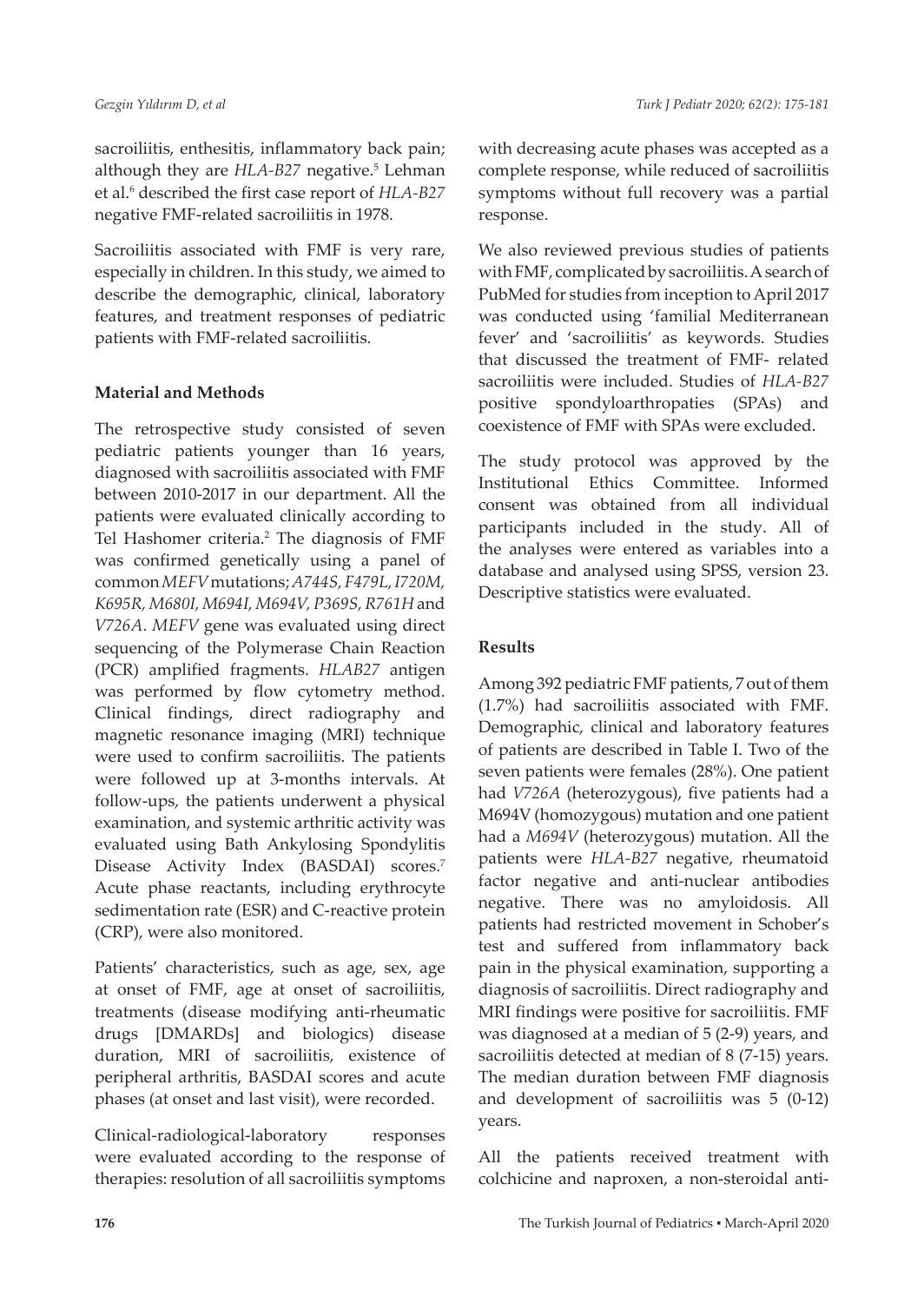sacroiliitis, enthesitis, inflammatory back pain; although they are *HLA-B27* negative.<sup>5</sup> Lehman et al.6 described the first case report of *HLA-B27* negative FMF-related sacroiliitis in 1978.

Sacroiliitis associated with FMF is very rare, especially in children. In this study, we aimed to describe the demographic, clinical, laboratory features, and treatment responses of pediatric patients with FMF-related sacroiliitis.

# **Material and Methods**

The retrospective study consisted of seven pediatric patients younger than 16 years, diagnosed with sacroiliitis associated with FMF between 2010-2017 in our department. All the patients were evaluated clinically according to Tel Hashomer criteria.<sup>2</sup> The diagnosis of FMF was confirmed genetically using a panel of common *MEFV* mutations; *A744S, F479L, I720M, K695R, M680I, M694I, M694V, P369S, R761H* and *V726A*. *MEFV* gene was evaluated using direct sequencing of the Polymerase Chain Reaction (PCR) amplified fragments. *HLAB27* antigen was performed by flow cytometry method. Clinical findings, direct radiography and magnetic resonance imaging (MRI) technique were used to confirm sacroiliitis. The patients were followed up at 3-months intervals. At follow-ups, the patients underwent a physical examination, and systemic arthritic activity was evaluated using Bath Ankylosing Spondylitis Disease Activity Index (BASDAI) scores.<sup>7</sup> Acute phase reactants, including erythrocyte sedimentation rate (ESR) and C-reactive protein (CRP), were also monitored.

Patients' characteristics, such as age, sex, age at onset of FMF, age at onset of sacroiliitis, treatments (disease modifying anti-rheumatic drugs [DMARDs] and biologics) disease duration, MRI of sacroiliitis, existence of peripheral arthritis, BASDAI scores and acute phases (at onset and last visit), were recorded.

Clinical-radiological-laboratory responses were evaluated according to the response of therapies: resolution of all sacroiliitis symptoms

with decreasing acute phases was accepted as a complete response, while reduced of sacroiliitis symptoms without full recovery was a partial response.

We also reviewed previous studies of patients with FMF, complicated by sacroiliitis. A search of PubMed for studies from inception to April 2017 was conducted using 'familial Mediterranean fever' and 'sacroiliitis' as keywords. Studies that discussed the treatment of FMF- related sacroiliitis were included. Studies of *HLA-B27*  positive spondyloarthropaties (SPAs) and coexistence of FMF with SPAs were excluded.

The study protocol was approved by the Institutional Ethics Committee. Informed consent was obtained from all individual participants included in the study. All of the analyses were entered as variables into a database and analysed using SPSS, version 23. Descriptive statistics were evaluated.

## **Results**

Among 392 pediatric FMF patients, 7 out of them (1.7%) had sacroiliitis associated with FMF. Demographic, clinical and laboratory features of patients are described in Table I. Two of the seven patients were females (28%). One patient had *V726A* (heterozygous), five patients had a M694V (homozygous) mutation and one patient had a *M694V* (heterozygous) mutation. All the patients were *HLA-B27* negative, rheumatoid factor negative and anti-nuclear antibodies negative. There was no amyloidosis. All patients had restricted movement in Schober's test and suffered from inflammatory back pain in the physical examination, supporting a diagnosis of sacroiliitis. Direct radiography and MRI findings were positive for sacroiliitis. FMF was diagnosed at a median of 5 (2-9) years, and sacroiliitis detected at median of 8 (7-15) years. The median duration between FMF diagnosis and development of sacroiliitis was 5 (0-12) years.

All the patients received treatment with colchicine and naproxen, a non-steroidal anti-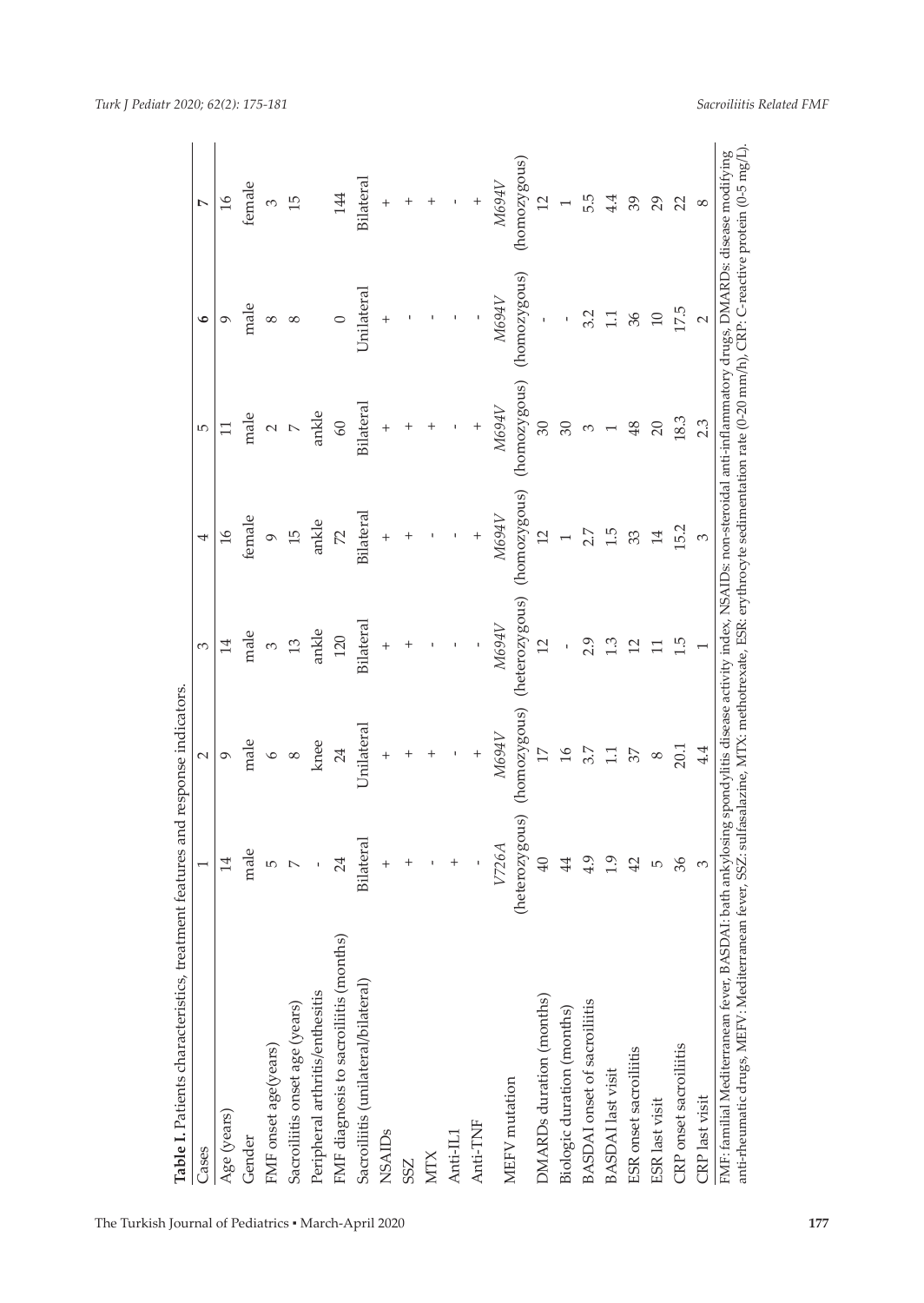| Table I. Patients characteristics, treatment features and response indicators.                                                                                                                                                 |                    |                 |                                                                                                                         |                       |              |              |                |
|--------------------------------------------------------------------------------------------------------------------------------------------------------------------------------------------------------------------------------|--------------------|-----------------|-------------------------------------------------------------------------------------------------------------------------|-----------------------|--------------|--------------|----------------|
| Cases                                                                                                                                                                                                                          |                    | $\sim$          | 3                                                                                                                       | 4                     | Б            | ی            | Ņ              |
| Age (years)                                                                                                                                                                                                                    | $\overline{14}$    | ᡋ               |                                                                                                                         | $\frac{91}{2}$        |              | ᡋ            | $\frac{91}{2}$ |
| Gender                                                                                                                                                                                                                         | male               | male            | male                                                                                                                    | female                | male         | male         | female         |
| FMF onset age(years)                                                                                                                                                                                                           | 5                  | $\circ$         | 3                                                                                                                       | $\circ$               | $\sim$       | 8            | 3              |
| Sacroiliitis onset age (years)                                                                                                                                                                                                 |                    | $^{\circ}$      | 13                                                                                                                      | 15                    |              | 8            | 15             |
| Peripheral arthritis/enthesitis                                                                                                                                                                                                |                    | knee            | ankle                                                                                                                   | ankle                 | ankle        |              |                |
| FMF diagnosis to sacroiliitis (months)                                                                                                                                                                                         | 24                 | 24              | 120                                                                                                                     | $\tilde{\mathcal{L}}$ | 60           | $\circ$      | 144            |
| Sacroiliitis (unilateral/bilateral)                                                                                                                                                                                            | Bilateral          | Unilateral      | Bilateral                                                                                                               | Bilateral             | Bilateral    | Unilateral   | Bilateral      |
| <b>NSAIDs</b>                                                                                                                                                                                                                  | $\,{}^+$           | $^{+}$          | $^{+}$                                                                                                                  | $^{+}$                | $^{+}$       | $\,{}^+$     | $^{+}$         |
| SSZ                                                                                                                                                                                                                            |                    | +               | $^+$                                                                                                                    |                       | $\,{}^+$     |              |                |
| <b>NTX</b>                                                                                                                                                                                                                     |                    |                 |                                                                                                                         |                       |              |              |                |
| Anti-IL1                                                                                                                                                                                                                       |                    |                 |                                                                                                                         |                       |              |              |                |
| Anti-TNF                                                                                                                                                                                                                       |                    | $^{+}$          |                                                                                                                         | $^{+}$                | $^{+}$       |              |                |
| MEFV mutation                                                                                                                                                                                                                  | V726A              | M694V           | M694V                                                                                                                   | M694V                 | N694V        | M694V        | <b>M694V</b>   |
|                                                                                                                                                                                                                                | erozygous)<br>(het | (homozygous)    | (heterozygous)                                                                                                          | (homozygous)          | (homozygous) | (homozygous) | (homozygous)   |
| DMARDs duration (months)                                                                                                                                                                                                       | $\overline{40}$    | $\overline{17}$ | 12                                                                                                                      | $\overline{C}$        | 30           |              | $\overline{2}$ |
| Biologic duration (months)                                                                                                                                                                                                     | 44                 | $\frac{8}{1}$   |                                                                                                                         |                       | 30           |              |                |
| <b>BASDAI</b> onset of sacroiliitis                                                                                                                                                                                            | 4.9                | 3.7             | 2.9                                                                                                                     | 2.7                   | S            | 3.2          | 5.5            |
| <b>BASDAI</b> last visit                                                                                                                                                                                                       | $\overline{0}$     |                 | ن.<br>ت                                                                                                                 | 1.5                   |              |              | 4.4            |
| ESR onset sacroiliitis                                                                                                                                                                                                         | 42                 | 57              | ⊴                                                                                                                       | 33                    | 48           | 36           | 39             |
| ESR last visit                                                                                                                                                                                                                 | 5                  | ∞               |                                                                                                                         | 14                    | 20           | $\supseteq$  | 29             |
| CRP onset sacroiliitis                                                                                                                                                                                                         | 36                 | 20.1            | 1.5                                                                                                                     | 15.2                  | 18.3         | 17.5         | 22             |
| CRP last visit                                                                                                                                                                                                                 | 3                  | 4.4             |                                                                                                                         | S                     | 2.3          | 2            | $\infty$       |
| anti-rheumatic drugs, MEFV. Mediterranean fever, SSZ: sulfasalazine, MTX: methotrexate, ESR: erythrocyte sedimentation rate (0-20 mm/h), CRP: C-reactive protein (0-5 mg/L)<br>FMF: familial Mediterranean fever, BASDAI: bath |                    |                 | ankylosing spondylitis disease activity index, NSAIDs: non-steroidal anti-inflammatory drugs, DMARDs: disease modifying |                       |              |              |                |

*Sacroiliitis Related FMF*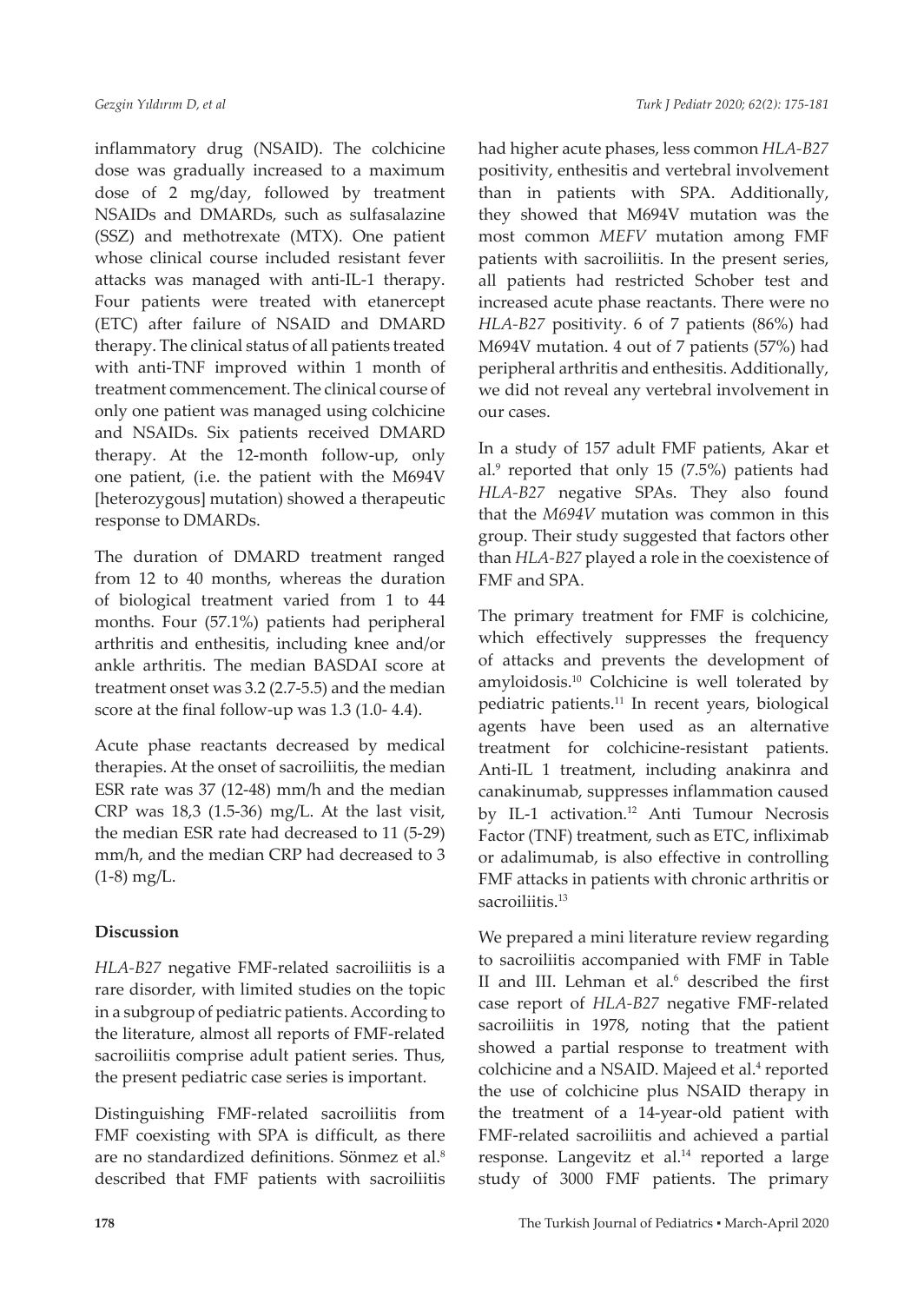inflammatory drug (NSAID). The colchicine dose was gradually increased to a maximum dose of 2 mg/day, followed by treatment NSAIDs and DMARDs, such as sulfasalazine (SSZ) and methotrexate (MTX). One patient whose clinical course included resistant fever attacks was managed with anti-IL-1 therapy. Four patients were treated with etanercept (ETC) after failure of NSAID and DMARD therapy. The clinical status of all patients treated with anti-TNF improved within 1 month of treatment commencement. The clinical course of only one patient was managed using colchicine and NSAIDs. Six patients received DMARD therapy. At the 12-month follow-up, only one patient, (i.e. the patient with the M694V [heterozygous] mutation) showed a therapeutic response to DMARDs.

The duration of DMARD treatment ranged from 12 to 40 months, whereas the duration of biological treatment varied from 1 to 44 months. Four (57.1%) patients had peripheral arthritis and enthesitis, including knee and/or ankle arthritis. The median BASDAI score at treatment onset was 3.2 (2.7-5.5) and the median score at the final follow-up was 1.3 (1.0- 4.4).

Acute phase reactants decreased by medical therapies. At the onset of sacroiliitis, the median ESR rate was 37 (12-48) mm/h and the median CRP was 18,3 (1.5-36) mg/L. At the last visit, the median ESR rate had decreased to 11 (5-29) mm/h, and the median CRP had decreased to 3 (1-8) mg/L.

### **Discussion**

*HLA-B27* negative FMF-related sacroiliitis is a rare disorder, with limited studies on the topic in a subgroup of pediatric patients. According to the literature, almost all reports of FMF-related sacroiliitis comprise adult patient series. Thus, the present pediatric case series is important.

Distinguishing FMF-related sacroiliitis from FMF coexisting with SPA is difficult, as there are no standardized definitions. Sönmez et al.8 described that FMF patients with sacroiliitis had higher acute phases, less common *HLA-B27*  positivity, enthesitis and vertebral involvement than in patients with SPA. Additionally, they showed that M694V mutation was the most common *MEFV* mutation among FMF patients with sacroiliitis. In the present series, all patients had restricted Schober test and increased acute phase reactants. There were no *HLA-B27* positivity. 6 of 7 patients (86%) had M694V mutation. 4 out of 7 patients (57%) had peripheral arthritis and enthesitis. Additionally, we did not reveal any vertebral involvement in our cases.

In a study of 157 adult FMF patients, Akar et al.<sup>9</sup> reported that only 15 (7.5%) patients had *HLA-B27* negative SPAs. They also found that the *M694V* mutation was common in this group. Their study suggested that factors other than *HLA-B27* played a role in the coexistence of FMF and SPA.

The primary treatment for FMF is colchicine, which effectively suppresses the frequency of attacks and prevents the development of amyloidosis.10 Colchicine is well tolerated by pediatric patients.<sup>11</sup> In recent years, biological agents have been used as an alternative treatment for colchicine-resistant patients. Anti-IL 1 treatment, including anakinra and canakinumab, suppresses inflammation caused by IL-1 activation.12 Anti Tumour Necrosis Factor (TNF) treatment, such as ETC, infliximab or adalimumab, is also effective in controlling FMF attacks in patients with chronic arthritis or sacroiliitis.<sup>13</sup>

We prepared a mini literature review regarding to sacroiliitis accompanied with FMF in Table II and III. Lehman et al.<sup>6</sup> described the first case report of *HLA-B27* negative FMF-related sacroiliitis in 1978, noting that the patient showed a partial response to treatment with colchicine and a NSAID. Majeed et al.<sup>4</sup> reported the use of colchicine plus NSAID therapy in the treatment of a 14-year-old patient with FMF-related sacroiliitis and achieved a partial response. Langevitz et al.<sup>14</sup> reported a large study of 3000 FMF patients. The primary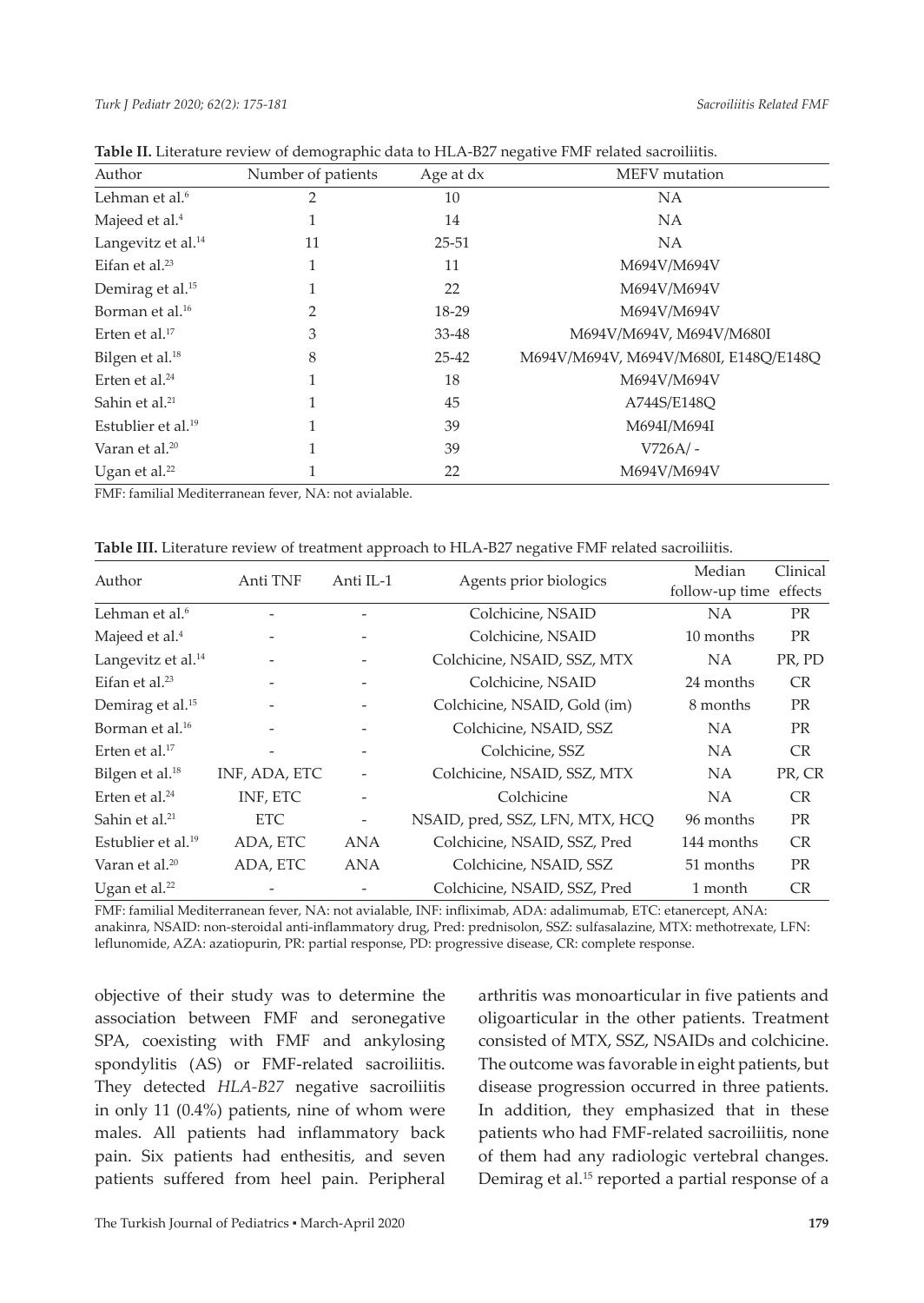|                                |                    |           | $\checkmark$                          |
|--------------------------------|--------------------|-----------|---------------------------------------|
| Author                         | Number of patients | Age at dx | MEFV mutation                         |
| Lehman et al. <sup>6</sup>     | $\overline{2}$     | 10        | NA                                    |
| Majeed et al. <sup>4</sup>     | 1                  | 14        | NA                                    |
| Langevitz et al. <sup>14</sup> | 11                 | $25 - 51$ | NA                                    |
| Eifan et al. $23$              | 1                  | 11        | M694V/M694V                           |
| Demirag et al. <sup>15</sup>   | 1                  | 22        | M694V/M694V                           |
| Borman et al. <sup>16</sup>    | 2                  | 18-29     | M694V/M694V                           |
| Erten et al. $17$              | 3                  | 33-48     | M694V/M694V, M694V/M680I              |
| Bilgen et al. <sup>18</sup>    | 8                  | $25 - 42$ | M694V/M694V, M694V/M680I, E148Q/E148Q |
| Erten et al. $24$              | 1                  | 18        | M694V/M694V                           |
| Sahin et al. <sup>21</sup>     | 1                  | 45        | A744S/E148O                           |
| Estublier et al. $19$          | 1                  | 39        | M694I/M694I                           |
| Varan et al. <sup>20</sup>     | 1                  | 39        | $V726A/-$                             |
| Ugan et al. $^{22}$            |                    | 22        | M694V/M694V                           |

| Table II. Literature review of demographic data to HLA-B27 negative FMF related sacroiliitis. |  |  |  |  |  |  |  |  |  |  |  |  |  |
|-----------------------------------------------------------------------------------------------|--|--|--|--|--|--|--|--|--|--|--|--|--|
|-----------------------------------------------------------------------------------------------|--|--|--|--|--|--|--|--|--|--|--|--|--|

FMF: familial Mediterranean fever, NA: not avialable.

| Table III. Literature review of treatment approach to HLA-B27 negative FMF related sacroiliitis. |  |  |  |
|--------------------------------------------------------------------------------------------------|--|--|--|
|--------------------------------------------------------------------------------------------------|--|--|--|

| Author                         | Anti TNF      | Anti IL-1                |                                 | Median                 | Clinical  |
|--------------------------------|---------------|--------------------------|---------------------------------|------------------------|-----------|
|                                |               |                          | Agents prior biologics          | follow-up time effects |           |
| Lehman et al. <sup>6</sup>     |               |                          | Colchicine, NSAID               | NA.                    | <b>PR</b> |
| Majeed et al. <sup>4</sup>     |               | $\overline{\phantom{a}}$ | Colchicine, NSAID               | 10 months              | <b>PR</b> |
| Langevitz et al. <sup>14</sup> |               |                          | Colchicine, NSAID, SSZ, MTX     | NA.                    | PR, PD    |
| Eifan et al. $^{23}$           |               | $\overline{\phantom{a}}$ | Colchicine, NSAID               | 24 months              | <b>CR</b> |
| Demirag et al. <sup>15</sup>   |               | $\overline{\phantom{0}}$ | Colchicine, NSAID, Gold (im)    | 8 months               | <b>PR</b> |
| Borman et al. <sup>16</sup>    |               |                          | Colchicine, NSAID, SSZ          | NA.                    | <b>PR</b> |
| Erten et al. $17$              |               | $\overline{\phantom{a}}$ | Colchicine, SSZ                 | NA.                    | <b>CR</b> |
| Bilgen et al. <sup>18</sup>    | INF, ADA, ETC | $\overline{\phantom{a}}$ | Colchicine, NSAID, SSZ, MTX     | NA.                    | PR, CR    |
| Erten et al. $24$              | INF, ETC      | $\overline{\phantom{a}}$ | Colchicine                      | NA.                    | <b>CR</b> |
| Sahin et al. <sup>21</sup>     | ETC.          | $\overline{\phantom{a}}$ | NSAID, pred, SSZ, LFN, MTX, HCQ | 96 months              | <b>PR</b> |
| Estublier et al. $19$          | ADA, ETC      | ANA                      | Colchicine, NSAID, SSZ, Pred    | 144 months             | <b>CR</b> |
| Varan et al. <sup>20</sup>     | ADA, ETC      | ANA                      | Colchicine, NSAID, SSZ          | 51 months              | <b>PR</b> |
| Ugan et al. $^{22}$            |               |                          | Colchicine, NSAID, SSZ, Pred    | 1 month                | <b>CR</b> |

FMF: familial Mediterranean fever, NA: not avialable, INF: infliximab, ADA: adalimumab, ETC: etanercept, ANA: anakinra, NSAID: non-steroidal anti-inflammatory drug, Pred: prednisolon, SSZ: sulfasalazine, MTX: methotrexate, LFN: leflunomide, AZA: azatiopurin, PR: partial response, PD: progressive disease, CR: complete response.

objective of their study was to determine the association between FMF and seronegative SPA, coexisting with FMF and ankylosing spondylitis (AS) or FMF-related sacroiliitis. They detected *HLA-B27* negative sacroiliitis in only 11 (0.4%) patients, nine of whom were males. All patients had inflammatory back pain. Six patients had enthesitis, and seven patients suffered from heel pain. Peripheral arthritis was monoarticular in five patients and oligoarticular in the other patients. Treatment consisted of MTX, SSZ, NSAIDs and colchicine. The outcome was favorable in eight patients, but disease progression occurred in three patients. In addition, they emphasized that in these patients who had FMF-related sacroiliitis, none of them had any radiologic vertebral changes. Demirag et al.15 reported a partial response of a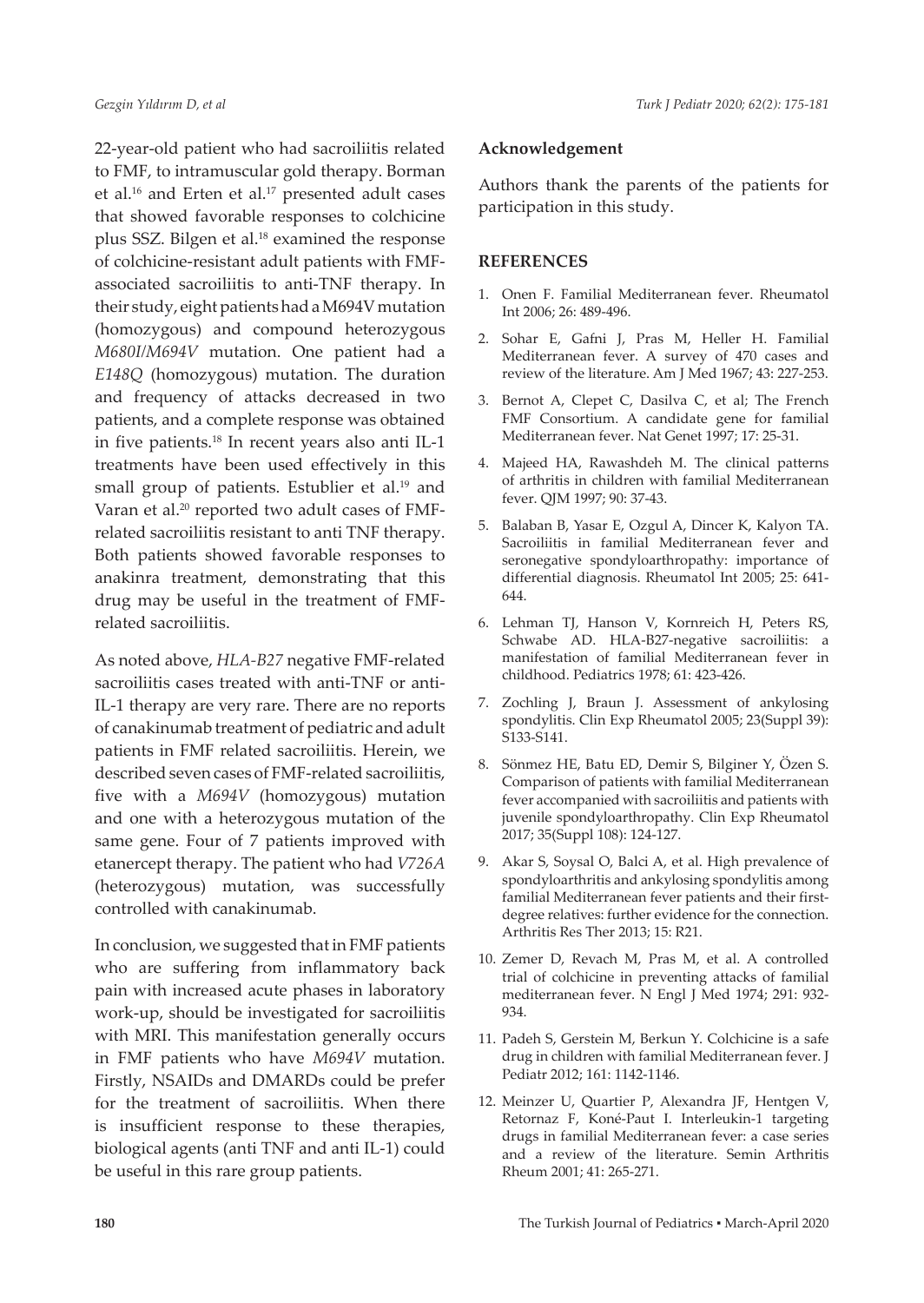*Gezgin Yıldırım D, et al Turk J Pediatr 2020; 62(2): 175-181*

22-year-old patient who had sacroiliitis related to FMF, to intramuscular gold therapy. Borman et al.<sup>16</sup> and Erten et al.<sup>17</sup> presented adult cases that showed favorable responses to colchicine plus SSZ. Bilgen et al.18 examined the response of colchicine-resistant adult patients with FMFassociated sacroiliitis to anti-TNF therapy. In their study, eight patients had a M694V mutation (homozygous) and compound heterozygous *M680I/M694V* mutation. One patient had a *E148Q* (homozygous) mutation. The duration and frequency of attacks decreased in two patients, and a complete response was obtained in five patients.18 In recent years also anti IL-1 treatments have been used effectively in this small group of patients. Estublier et al.<sup>19</sup> and Varan et al.<sup>20</sup> reported two adult cases of FMFrelated sacroiliitis resistant to anti TNF therapy. Both patients showed favorable responses to anakinra treatment, demonstrating that this drug may be useful in the treatment of FMFrelated sacroiliitis.

As noted above, *HLA-B27* negative FMF-related sacroiliitis cases treated with anti-TNF or anti-IL-1 therapy are very rare. There are no reports of canakinumab treatment of pediatric and adult patients in FMF related sacroiliitis. Herein, we described seven cases of FMF-related sacroiliitis, five with a *M694V* (homozygous) mutation and one with a heterozygous mutation of the same gene. Four of 7 patients improved with etanercept therapy. The patient who had *V726A* (heterozygous) mutation, was successfully controlled with canakinumab.

In conclusion, we suggested that in FMF patients who are suffering from inflammatory back pain with increased acute phases in laboratory work-up, should be investigated for sacroiliitis with MRI. This manifestation generally occurs in FMF patients who have *M694V* mutation. Firstly, NSAIDs and DMARDs could be prefer for the treatment of sacroiliitis. When there is insufficient response to these therapies, biological agents (anti TNF and anti IL-1) could be useful in this rare group patients.

#### **Acknowledgement**

Authors thank the parents of the patients for participation in this study.

#### **REFERENCES**

- 1. Onen F. Familial Mediterranean fever. Rheumatol Int 2006; 26: 489-496.
- 2. Sohar E, Gafni J, Pras M, Heller H. Familial Mediterranean fever. A survey of 470 cases and review of the literature. Am J Med 1967; 43: 227-253.
- 3. Bernot A, Clepet C, Dasilva C, et al; The French FMF Consortium. A candidate gene for familial Mediterranean fever. Nat Genet 1997; 17: 25-31.
- 4. Majeed HA, Rawashdeh M. The clinical patterns of arthritis in children with familial Mediterranean fever. QJM 1997; 90: 37-43.
- 5. Balaban B, Yasar E, Ozgul A, Dincer K, Kalyon TA. Sacroiliitis in familial Mediterranean fever and seronegative spondyloarthropathy: importance of differential diagnosis. Rheumatol Int 2005; 25: 641- 644.
- 6. Lehman TJ, Hanson V, Kornreich H, Peters RS, Schwabe AD. HLA-B27-negative sacroiliitis: a manifestation of familial Mediterranean fever in childhood. Pediatrics 1978; 61: 423-426.
- 7. Zochling J, Braun J. Assessment of ankylosing spondylitis. Clin Exp Rheumatol 2005; 23(Suppl 39): S133-S141.
- 8. Sönmez HE, Batu ED, Demir S, Bilginer Y, Özen S. Comparison of patients with familial Mediterranean fever accompanied with sacroiliitis and patients with juvenile spondyloarthropathy. Clin Exp Rheumatol 2017; 35(Suppl 108): 124-127.
- 9. Akar S, Soysal O, Balci A, et al. High prevalence of spondyloarthritis and ankylosing spondylitis among familial Mediterranean fever patients and their firstdegree relatives: further evidence for the connection. Arthritis Res Ther 2013; 15: R21.
- 10. Zemer D, Revach M, Pras M, et al. A controlled trial of colchicine in preventing attacks of familial mediterranean fever. N Engl J Med 1974; 291: 932- 934.
- 11. Padeh S, Gerstein M, Berkun Y. Colchicine is a safe drug in children with familial Mediterranean fever. J Pediatr 2012; 161: 1142-1146.
- 12. Meinzer U, Quartier P, Alexandra JF, Hentgen V, Retornaz F, Koné-Paut I. Interleukin-1 targeting drugs in familial Mediterranean fever: a case series and a review of the literature. Semin Arthritis Rheum 2001; 41: 265-271.